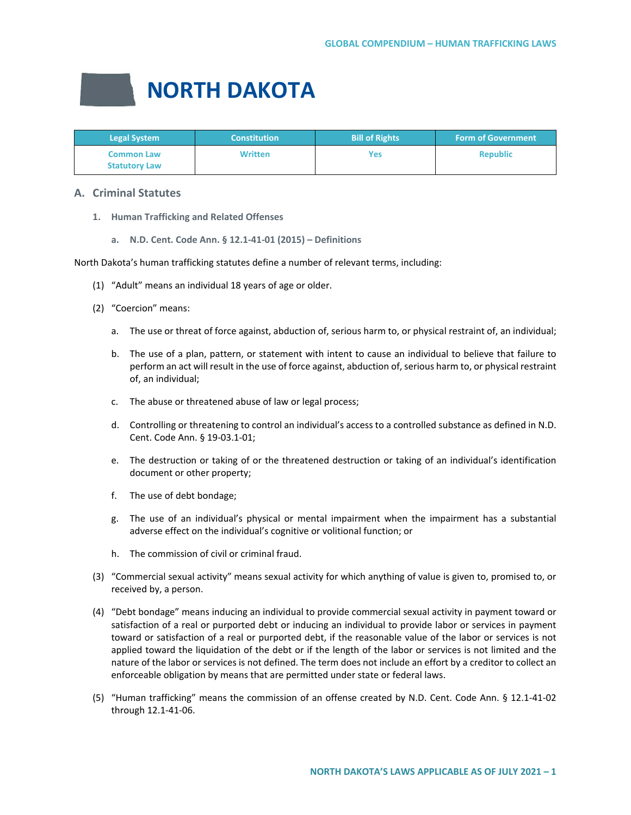# **NORTH DAKOTA**

| <b>Legal System</b>                       | <b>Constitution</b> | <b>Bill of Rights</b> | <b>Form of Government</b> |
|-------------------------------------------|---------------------|-----------------------|---------------------------|
| <b>Common Law</b><br><b>Statutory Law</b> | <b>Written</b>      | Yes                   | <b>Republic</b>           |

## **A. Criminal Statutes**

- **1. Human Trafficking and Related Offenses**
	- **a. N.D. Cent. Code Ann. § 12.1-41-01 (2015) – Definitions**

North Dakota's human trafficking statutes define a number of relevant terms, including:

- (1) "Adult" means an individual 18 years of age or older.
- (2) "Coercion" means:
	- a. The use or threat of force against, abduction of, serious harm to, or physical restraint of, an individual;
	- b. The use of a plan, pattern, or statement with intent to cause an individual to believe that failure to perform an act will result in the use of force against, abduction of, serious harm to, or physical restraint of, an individual;
	- c. The abuse or threatened abuse of law or legal process;
	- d. Controlling or threatening to control an individual's access to a controlled substance as defined in N.D. Cent. Code Ann. § 19-03.1-01;
	- e. The destruction or taking of or the threatened destruction or taking of an individual's identification document or other property;
	- f. The use of debt bondage;
	- g. The use of an individual's physical or mental impairment when the impairment has a substantial adverse effect on the individual's cognitive or volitional function; or
	- h. The commission of civil or criminal fraud.
- (3) "Commercial sexual activity" means sexual activity for which anything of value is given to, promised to, or received by, a person.
- (4) "Debt bondage" means inducing an individual to provide commercial sexual activity in payment toward or satisfaction of a real or purported debt or inducing an individual to provide labor or services in payment toward or satisfaction of a real or purported debt, if the reasonable value of the labor or services is not applied toward the liquidation of the debt or if the length of the labor or services is not limited and the nature of the labor or services is not defined. The term does not include an effort by a creditor to collect an enforceable obligation by means that are permitted under state or federal laws.
- (5) "Human trafficking" means the commission of an offense created by N.D. Cent. Code Ann. § 12.1-41-02 through 12.1-41-06.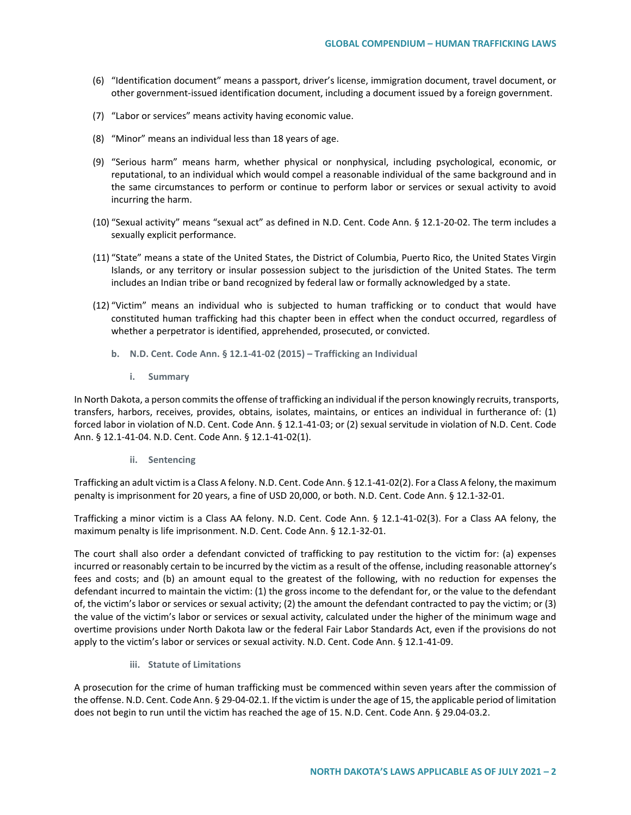- (6) "Identification document" means a passport, driver's license, immigration document, travel document, or other government-issued identification document, including a document issued by a foreign government.
- (7) "Labor or services" means activity having economic value.
- (8) "Minor" means an individual less than 18 years of age.
- (9) "Serious harm" means harm, whether physical or nonphysical, including psychological, economic, or reputational, to an individual which would compel a reasonable individual of the same background and in the same circumstances to perform or continue to perform labor or services or sexual activity to avoid incurring the harm.
- (10) "Sexual activity" means "sexual act" as defined in N.D. Cent. Code Ann. § 12.1-20-02. The term includes a sexually explicit performance.
- (11) "State" means a state of the United States, the District of Columbia, Puerto Rico, the United States Virgin Islands, or any territory or insular possession subject to the jurisdiction of the United States. The term includes an Indian tribe or band recognized by federal law or formally acknowledged by a state.
- (12) "Victim" means an individual who is subjected to human trafficking or to conduct that would have constituted human trafficking had this chapter been in effect when the conduct occurred, regardless of whether a perpetrator is identified, apprehended, prosecuted, or convicted.
	- **b. N.D. Cent. Code Ann. § 12.1-41-02 (2015) – Trafficking an Individual**
		- **i. Summary**

In North Dakota, a person commits the offense of trafficking an individual if the person knowingly recruits, transports, transfers, harbors, receives, provides, obtains, isolates, maintains, or entices an individual in furtherance of: (1) forced labor in violation of N.D. Cent. Code Ann. § 12.1-41-03; or (2) sexual servitude in violation of N.D. Cent. Code Ann. § 12.1-41-04. N.D. Cent. Code Ann. § 12.1-41-02(1).

**ii. Sentencing**

Trafficking an adult victim is a Class A felony. N.D. Cent. Code Ann. § 12.1-41-02(2). For a Class A felony, the maximum penalty is imprisonment for 20 years, a fine of USD 20,000, or both. N.D. Cent. Code Ann. § 12.1-32-01.

Trafficking a minor victim is a Class AA felony. N.D. Cent. Code Ann. § 12.1-41-02(3). For a Class AA felony, the maximum penalty is life imprisonment. N.D. Cent. Code Ann. § 12.1-32-01.

The court shall also order a defendant convicted of trafficking to pay restitution to the victim for: (a) expenses incurred or reasonably certain to be incurred by the victim as a result of the offense, including reasonable attorney's fees and costs; and (b) an amount equal to the greatest of the following, with no reduction for expenses the defendant incurred to maintain the victim: (1) the gross income to the defendant for, or the value to the defendant of, the victim's labor or services or sexual activity; (2) the amount the defendant contracted to pay the victim; or (3) the value of the victim's labor or services or sexual activity, calculated under the higher of the minimum wage and overtime provisions under North Dakota law or the federal Fair Labor Standards Act, even if the provisions do not apply to the victim's labor or services or sexual activity. N.D. Cent. Code Ann. § 12.1-41-09.

**iii. Statute of Limitations**

A prosecution for the crime of human trafficking must be commenced within seven years after the commission of the offense. N.D. Cent. Code Ann. § 29-04-02.1. If the victim is under the age of 15, the applicable period of limitation does not begin to run until the victim has reached the age of 15. N.D. Cent. Code Ann. § 29.04-03.2.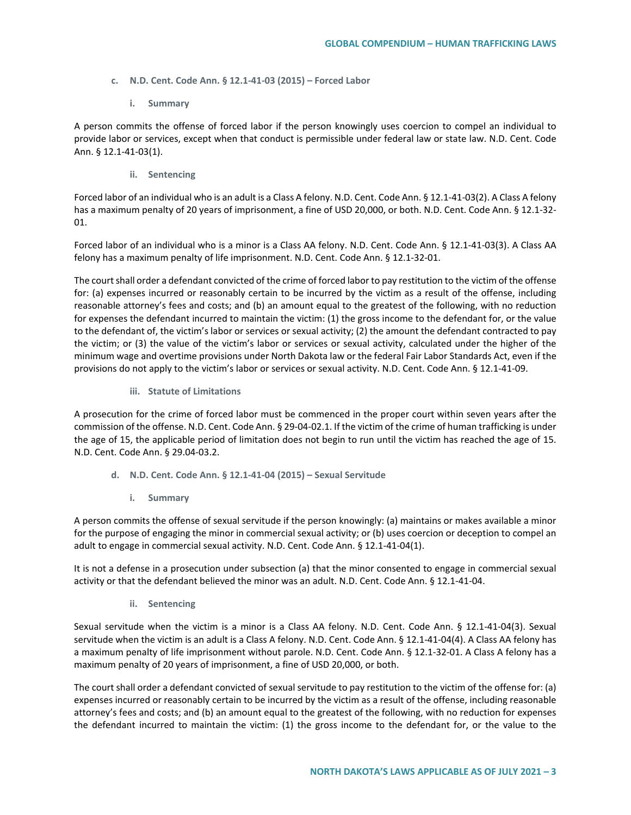- **c. N.D. Cent. Code Ann. § 12.1-41-03 (2015) – Forced Labor**
	- **i. Summary**

A person commits the offense of forced labor if the person knowingly uses coercion to compel an individual to provide labor or services, except when that conduct is permissible under federal law or state law. N.D. Cent. Code Ann. § 12.1-41-03(1).

**ii. Sentencing**

Forced labor of an individual who is an adult is a Class A felony. N.D. Cent. Code Ann. § 12.1-41-03(2). A Class A felony has a maximum penalty of 20 years of imprisonment, a fine of USD 20,000, or both. N.D. Cent. Code Ann. § 12.1-32- 01.

Forced labor of an individual who is a minor is a Class AA felony. N.D. Cent. Code Ann. § 12.1-41-03(3). A Class AA felony has a maximum penalty of life imprisonment. N.D. Cent. Code Ann. § 12.1-32-01.

The court shall order a defendant convicted of the crime of forced labor to pay restitution to the victim of the offense for: (a) expenses incurred or reasonably certain to be incurred by the victim as a result of the offense, including reasonable attorney's fees and costs; and (b) an amount equal to the greatest of the following, with no reduction for expenses the defendant incurred to maintain the victim: (1) the gross income to the defendant for, or the value to the defendant of, the victim's labor or services or sexual activity; (2) the amount the defendant contracted to pay the victim; or (3) the value of the victim's labor or services or sexual activity, calculated under the higher of the minimum wage and overtime provisions under North Dakota law or the federal Fair Labor Standards Act, even if the provisions do not apply to the victim's labor or services or sexual activity. N.D. Cent. Code Ann. § 12.1-41-09.

**iii. Statute of Limitations**

A prosecution for the crime of forced labor must be commenced in the proper court within seven years after the commission of the offense. N.D. Cent. Code Ann. § 29-04-02.1. If the victim of the crime of human trafficking is under the age of 15, the applicable period of limitation does not begin to run until the victim has reached the age of 15. N.D. Cent. Code Ann. § 29.04-03.2.

- **d. N.D. Cent. Code Ann. § 12.1-41-04 (2015) – Sexual Servitude**
	- **i. Summary**

A person commits the offense of sexual servitude if the person knowingly: (a) maintains or makes available a minor for the purpose of engaging the minor in commercial sexual activity; or (b) uses coercion or deception to compel an adult to engage in commercial sexual activity. N.D. Cent. Code Ann. § 12.1-41-04(1).

It is not a defense in a prosecution under subsection (a) that the minor consented to engage in commercial sexual activity or that the defendant believed the minor was an adult. N.D. Cent. Code Ann. § 12.1-41-04.

**ii. Sentencing**

Sexual servitude when the victim is a minor is a Class AA felony. N.D. Cent. Code Ann. § 12.1-41-04(3). Sexual servitude when the victim is an adult is a Class A felony. N.D. Cent. Code Ann. § 12.1-41-04(4). A Class AA felony has a maximum penalty of life imprisonment without parole. N.D. Cent. Code Ann. § 12.1-32-01. A Class A felony has a maximum penalty of 20 years of imprisonment, a fine of USD 20,000, or both.

The court shall order a defendant convicted of sexual servitude to pay restitution to the victim of the offense for: (a) expenses incurred or reasonably certain to be incurred by the victim as a result of the offense, including reasonable attorney's fees and costs; and (b) an amount equal to the greatest of the following, with no reduction for expenses the defendant incurred to maintain the victim: (1) the gross income to the defendant for, or the value to the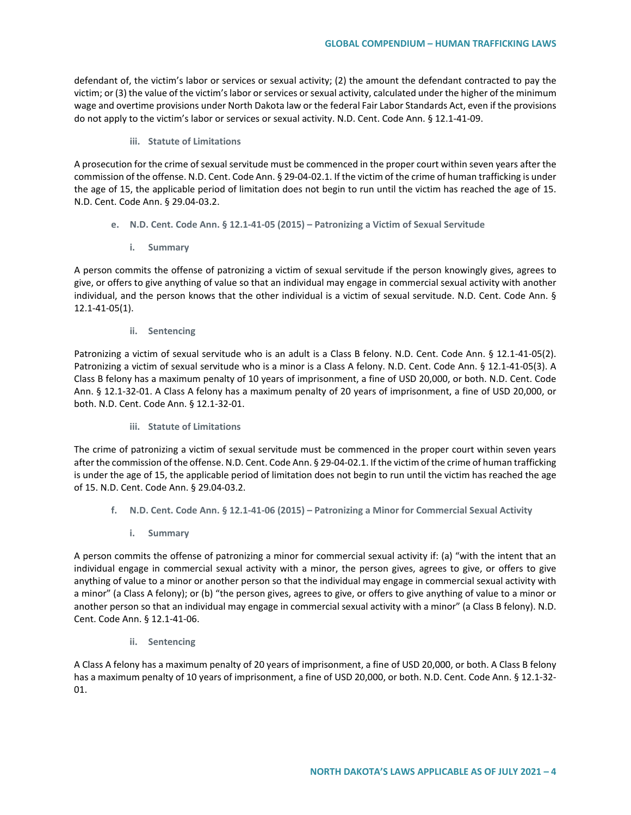defendant of, the victim's labor or services or sexual activity; (2) the amount the defendant contracted to pay the victim; or (3) the value of the victim's labor or services or sexual activity, calculated under the higher of the minimum wage and overtime provisions under North Dakota law or the federal Fair Labor Standards Act, even if the provisions do not apply to the victim's labor or services or sexual activity. N.D. Cent. Code Ann. § 12.1-41-09.

### **iii. Statute of Limitations**

A prosecution for the crime of sexual servitude must be commenced in the proper court within seven years after the commission of the offense. N.D. Cent. Code Ann. § 29-04-02.1. If the victim of the crime of human trafficking is under the age of 15, the applicable period of limitation does not begin to run until the victim has reached the age of 15. N.D. Cent. Code Ann. § 29.04-03.2.

- **e. N.D. Cent. Code Ann. § 12.1-41-05 (2015) – Patronizing a Victim of Sexual Servitude**
	- **i. Summary**

A person commits the offense of patronizing a victim of sexual servitude if the person knowingly gives, agrees to give, or offers to give anything of value so that an individual may engage in commercial sexual activity with another individual, and the person knows that the other individual is a victim of sexual servitude. N.D. Cent. Code Ann. § 12.1-41-05(1).

**ii. Sentencing**

Patronizing a victim of sexual servitude who is an adult is a Class B felony. N.D. Cent. Code Ann. § 12.1-41-05(2). Patronizing a victim of sexual servitude who is a minor is a Class A felony. N.D. Cent. Code Ann. § 12.1-41-05(3). A Class B felony has a maximum penalty of 10 years of imprisonment, a fine of USD 20,000, or both. N.D. Cent. Code Ann. § 12.1-32-01. A Class A felony has a maximum penalty of 20 years of imprisonment, a fine of USD 20,000, or both. N.D. Cent. Code Ann. § 12.1-32-01.

**iii. Statute of Limitations**

The crime of patronizing a victim of sexual servitude must be commenced in the proper court within seven years after the commission of the offense. N.D. Cent. Code Ann. § 29-04-02.1. If the victim of the crime of human trafficking is under the age of 15, the applicable period of limitation does not begin to run until the victim has reached the age of 15. N.D. Cent. Code Ann. § 29.04-03.2.

- **f. N.D. Cent. Code Ann. § 12.1-41-06 (2015) – Patronizing a Minor for Commercial Sexual Activity**
	- **i. Summary**

A person commits the offense of patronizing a minor for commercial sexual activity if: (a) "with the intent that an individual engage in commercial sexual activity with a minor, the person gives, agrees to give, or offers to give anything of value to a minor or another person so that the individual may engage in commercial sexual activity with a minor" (a Class A felony); or (b) "the person gives, agrees to give, or offers to give anything of value to a minor or another person so that an individual may engage in commercial sexual activity with a minor" (a Class B felony). N.D. Cent. Code Ann. § 12.1-41-06.

**ii. Sentencing**

A Class A felony has a maximum penalty of 20 years of imprisonment, a fine of USD 20,000, or both. A Class B felony has a maximum penalty of 10 years of imprisonment, a fine of USD 20,000, or both. N.D. Cent. Code Ann. § 12.1-32-01.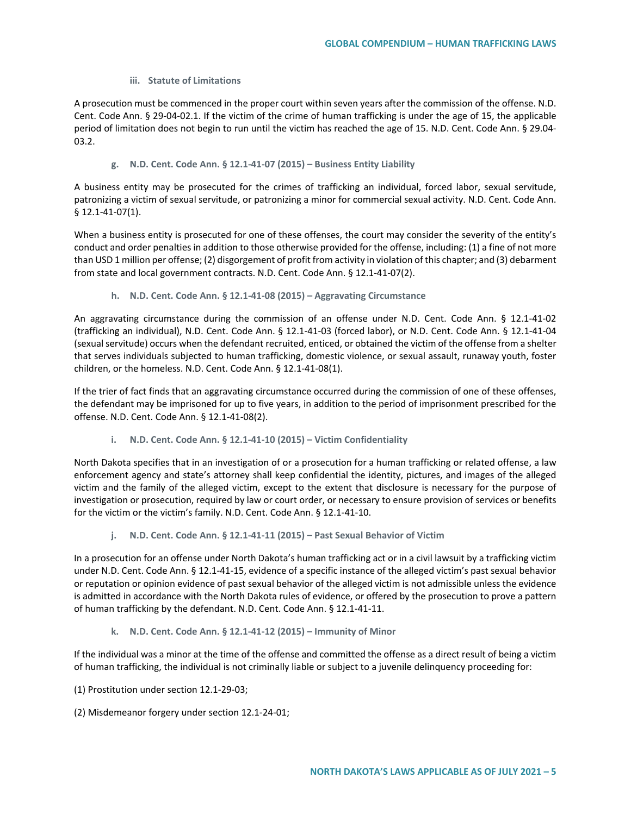#### **iii. Statute of Limitations**

A prosecution must be commenced in the proper court within seven years after the commission of the offense. N.D. Cent. Code Ann. § 29-04-02.1. If the victim of the crime of human trafficking is under the age of 15, the applicable period of limitation does not begin to run until the victim has reached the age of 15. N.D. Cent. Code Ann. § 29.04- 03.2.

### **g. N.D. Cent. Code Ann. § 12.1-41-07 (2015) – Business Entity Liability**

A business entity may be prosecuted for the crimes of trafficking an individual, forced labor, sexual servitude, patronizing a victim of sexual servitude, or patronizing a minor for commercial sexual activity. N.D. Cent. Code Ann. § 12.1-41-07(1).

When a business entity is prosecuted for one of these offenses, the court may consider the severity of the entity's conduct and order penalties in addition to those otherwise provided for the offense, including: (1) a fine of not more than USD 1 million per offense; (2) disgorgement of profit from activity in violation of this chapter; and (3) debarment from state and local government contracts. N.D. Cent. Code Ann. § 12.1-41-07(2).

**h. N.D. Cent. Code Ann. § 12.1-41-08 (2015) – Aggravating Circumstance**

An aggravating circumstance during the commission of an offense under N.D. Cent. Code Ann. § 12.1-41-02 (trafficking an individual), N.D. Cent. Code Ann. § 12.1-41-03 (forced labor), or N.D. Cent. Code Ann. § 12.1-41-04 (sexual servitude) occurs when the defendant recruited, enticed, or obtained the victim of the offense from a shelter that serves individuals subjected to human trafficking, domestic violence, or sexual assault, runaway youth, foster children, or the homeless. N.D. Cent. Code Ann. § 12.1-41-08(1).

If the trier of fact finds that an aggravating circumstance occurred during the commission of one of these offenses, the defendant may be imprisoned for up to five years, in addition to the period of imprisonment prescribed for the offense. N.D. Cent. Code Ann. § 12.1-41-08(2).

**i. N.D. Cent. Code Ann. § 12.1-41-10 (2015) – Victim Confidentiality**

North Dakota specifies that in an investigation of or a prosecution for a human trafficking or related offense, a law enforcement agency and state's attorney shall keep confidential the identity, pictures, and images of the alleged victim and the family of the alleged victim, except to the extent that disclosure is necessary for the purpose of investigation or prosecution, required by law or court order, or necessary to ensure provision of services or benefits for the victim or the victim's family. N.D. Cent. Code Ann. § 12.1-41-10.

**j. N.D. Cent. Code Ann. § 12.1-41-11 (2015) – Past Sexual Behavior of Victim**

In a prosecution for an offense under North Dakota's human trafficking act or in a civil lawsuit by a trafficking victim under N.D. Cent. Code Ann. § 12.1-41-15, evidence of a specific instance of the alleged victim's past sexual behavior or reputation or opinion evidence of past sexual behavior of the alleged victim is not admissible unless the evidence is admitted in accordance with the North Dakota rules of evidence, or offered by the prosecution to prove a pattern of human trafficking by the defendant. N.D. Cent. Code Ann. § 12.1-41-11.

**k. N.D. Cent. Code Ann. § 12.1-41-12 (2015) – Immunity of Minor**

If the individual was a minor at the time of the offense and committed the offense as a direct result of being a victim of human trafficking, the individual is not criminally liable or subject to a juvenile delinquency proceeding for:

- (1) Prostitution under section 12.1-29-03;
- (2) Misdemeanor forgery under section 12.1-24-01;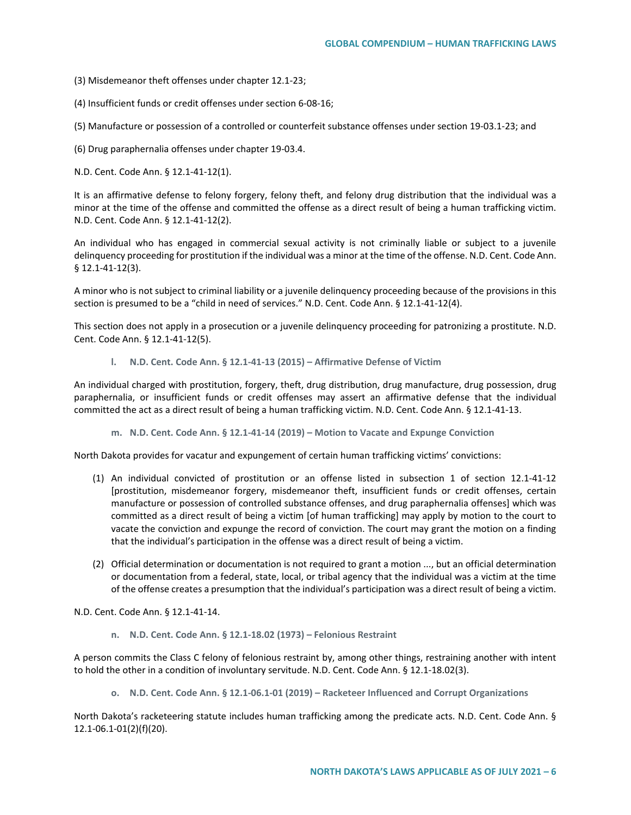- (3) Misdemeanor theft offenses under chapter 12.1-23;
- (4) Insufficient funds or credit offenses under section 6-08-16;
- (5) Manufacture or possession of a controlled or counterfeit substance offenses under section 19-03.1-23; and
- (6) Drug paraphernalia offenses under chapter 19-03.4.

N.D. Cent. Code Ann. § 12.1-41-12(1).

It is an affirmative defense to felony forgery, felony theft, and felony drug distribution that the individual was a minor at the time of the offense and committed the offense as a direct result of being a human trafficking victim. N.D. Cent. Code Ann. § 12.1-41-12(2).

An individual who has engaged in commercial sexual activity is not criminally liable or subject to a juvenile delinquency proceeding for prostitution if the individual was a minor at the time of the offense. N.D. Cent. Code Ann. § 12.1-41-12(3).

A minor who is not subject to criminal liability or a juvenile delinquency proceeding because of the provisions in this section is presumed to be a "child in need of services." N.D. Cent. Code Ann. § 12.1-41-12(4).

This section does not apply in a prosecution or a juvenile delinquency proceeding for patronizing a prostitute. N.D. Cent. Code Ann. § 12.1-41-12(5).

**l. N.D. Cent. Code Ann. § 12.1-41-13 (2015) – Affirmative Defense of Victim**

An individual charged with prostitution, forgery, theft, drug distribution, drug manufacture, drug possession, drug paraphernalia, or insufficient funds or credit offenses may assert an affirmative defense that the individual committed the act as a direct result of being a human trafficking victim. N.D. Cent. Code Ann. § 12.1-41-13.

**m. N.D. Cent. Code Ann. § 12.1-41-14 (2019) – Motion to Vacate and Expunge Conviction**

North Dakota provides for vacatur and expungement of certain human trafficking victims' convictions:

- (1) An individual convicted of prostitution or an offense listed in subsection 1 of section 12.1-41-12 [prostitution, misdemeanor forgery, misdemeanor theft, insufficient funds or credit offenses, certain manufacture or possession of controlled substance offenses, and drug paraphernalia offenses] which was committed as a direct result of being a victim [of human trafficking] may apply by motion to the court to vacate the conviction and expunge the record of conviction. The court may grant the motion on a finding that the individual's participation in the offense was a direct result of being a victim.
- (2) Official determination or documentation is not required to grant a motion ..., but an official determination or documentation from a federal, state, local, or tribal agency that the individual was a victim at the time of the offense creates a presumption that the individual's participation was a direct result of being a victim.

N.D. Cent. Code Ann. § 12.1-41-14.

**n. N.D. Cent. Code Ann. § 12.1-18.02 (1973) – Felonious Restraint**

A person commits the Class C felony of felonious restraint by, among other things, restraining another with intent to hold the other in a condition of involuntary servitude. N.D. Cent. Code Ann. § 12.1-18.02(3).

**o. N.D. Cent. Code Ann. § 12.1-06.1-01 (2019) – Racketeer Influenced and Corrupt Organizations**

North Dakota's racketeering statute includes human trafficking among the predicate acts. N.D. Cent. Code Ann. § 12.1-06.1-01(2)(f)(20).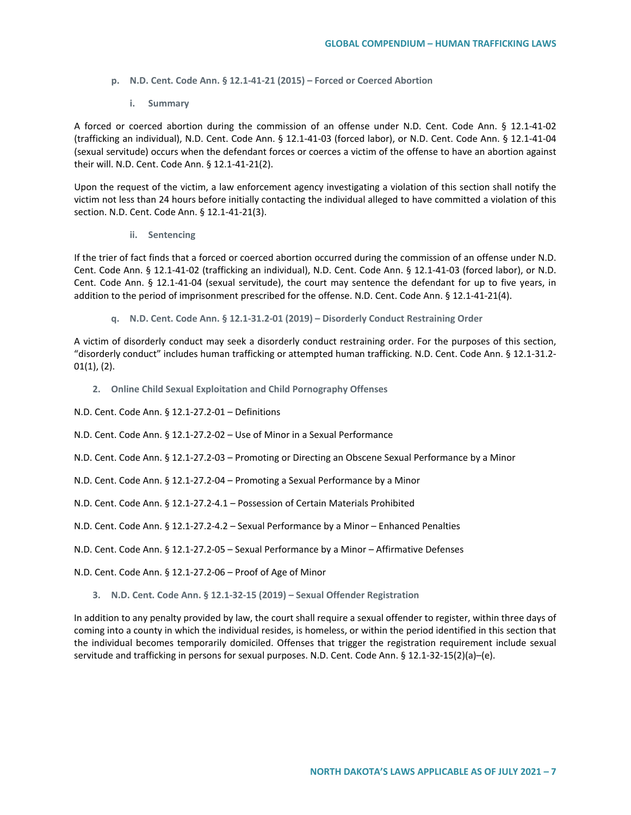- **p. N.D. Cent. Code Ann. § 12.1-41-21 (2015) – Forced or Coerced Abortion**
	- **i. Summary**

A forced or coerced abortion during the commission of an offense under N.D. Cent. Code Ann. § 12.1-41-02 (trafficking an individual), N.D. Cent. Code Ann. § 12.1-41-03 (forced labor), or N.D. Cent. Code Ann. § 12.1-41-04 (sexual servitude) occurs when the defendant forces or coerces a victim of the offense to have an abortion against their will. N.D. Cent. Code Ann. § 12.1-41-21(2).

Upon the request of the victim, a law enforcement agency investigating a violation of this section shall notify the victim not less than 24 hours before initially contacting the individual alleged to have committed a violation of this section. N.D. Cent. Code Ann. § 12.1-41-21(3).

**ii. Sentencing**

If the trier of fact finds that a forced or coerced abortion occurred during the commission of an offense under N.D. Cent. Code Ann. § 12.1-41-02 (trafficking an individual), N.D. Cent. Code Ann. § 12.1-41-03 (forced labor), or N.D. Cent. Code Ann. § 12.1-41-04 (sexual servitude), the court may sentence the defendant for up to five years, in addition to the period of imprisonment prescribed for the offense. N.D. Cent. Code Ann. § 12.1-41-21(4).

**q. N.D. Cent. Code Ann. § 12.1-31.2-01 (2019) – Disorderly Conduct Restraining Order**

A victim of disorderly conduct may seek a disorderly conduct restraining order. For the purposes of this section, "disorderly conduct" includes human trafficking or attempted human trafficking. N.D. Cent. Code Ann. § 12.1-31.2- 01(1), (2).

**2. Online Child Sexual Exploitation and Child Pornography Offenses**

N.D. Cent. Code Ann. § 12.1-27.2-01 – Definitions

N.D. Cent. Code Ann. § 12.1-27.2-02 – Use of Minor in a Sexual Performance

N.D. Cent. Code Ann. § 12.1-27.2-03 – Promoting or Directing an Obscene Sexual Performance by a Minor

N.D. Cent. Code Ann. § 12.1-27.2-04 – Promoting a Sexual Performance by a Minor

N.D. Cent. Code Ann. § 12.1-27.2-4.1 – Possession of Certain Materials Prohibited

N.D. Cent. Code Ann. § 12.1-27.2-4.2 – Sexual Performance by a Minor – Enhanced Penalties

N.D. Cent. Code Ann. § 12.1-27.2-05 – Sexual Performance by a Minor – Affirmative Defenses

N.D. Cent. Code Ann. § 12.1-27.2-06 – Proof of Age of Minor

#### **3. N.D. Cent. Code Ann. § 12.1-32-15 (2019) – Sexual Offender Registration**

In addition to any penalty provided by law, the court shall require a sexual offender to register, within three days of coming into a county in which the individual resides, is homeless, or within the period identified in this section that the individual becomes temporarily domiciled. Offenses that trigger the registration requirement include sexual servitude and trafficking in persons for sexual purposes. N.D. Cent. Code Ann. § 12.1-32-15(2)(a)–(e).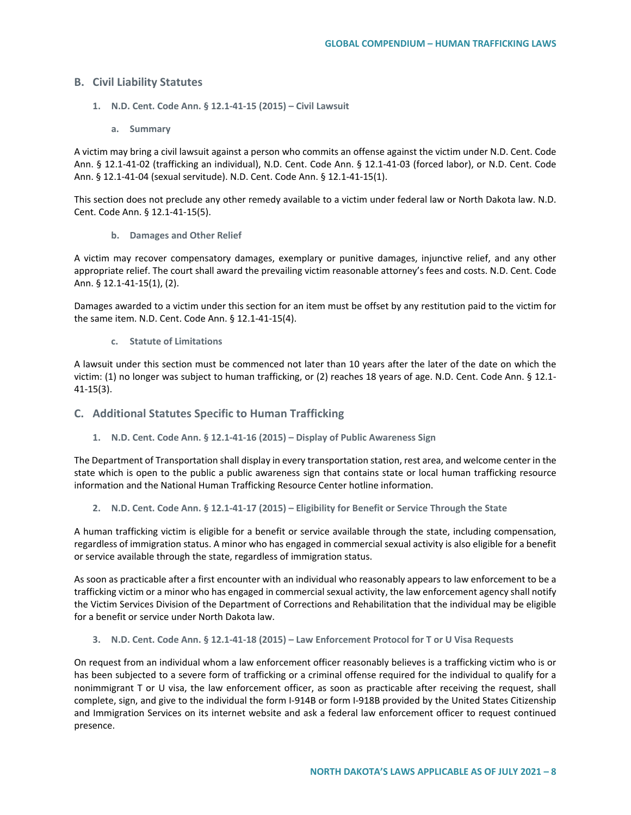### **B. Civil Liability Statutes**

- **1. N.D. Cent. Code Ann. § 12.1-41-15 (2015) – Civil Lawsuit**
	- **a. Summary**

A victim may bring a civil lawsuit against a person who commits an offense against the victim under N.D. Cent. Code Ann. § 12.1-41-02 (trafficking an individual), N.D. Cent. Code Ann. § 12.1-41-03 (forced labor), or N.D. Cent. Code Ann. § 12.1-41-04 (sexual servitude). N.D. Cent. Code Ann. § 12.1-41-15(1).

This section does not preclude any other remedy available to a victim under federal law or North Dakota law. N.D. Cent. Code Ann. § 12.1-41-15(5).

**b. Damages and Other Relief**

A victim may recover compensatory damages, exemplary or punitive damages, injunctive relief, and any other appropriate relief. The court shall award the prevailing victim reasonable attorney's fees and costs. N.D. Cent. Code Ann. § 12.1-41-15(1), (2).

Damages awarded to a victim under this section for an item must be offset by any restitution paid to the victim for the same item. N.D. Cent. Code Ann. § 12.1-41-15(4).

**c. Statute of Limitations**

A lawsuit under this section must be commenced not later than 10 years after the later of the date on which the victim: (1) no longer was subject to human trafficking, or (2) reaches 18 years of age. N.D. Cent. Code Ann. § 12.1- 41-15(3).

## **C. Additional Statutes Specific to Human Trafficking**

**1. N.D. Cent. Code Ann. § 12.1-41-16 (2015) – Display of Public Awareness Sign**

The Department of Transportation shall display in every transportation station, rest area, and welcome center in the state which is open to the public a public awareness sign that contains state or local human trafficking resource information and the National Human Trafficking Resource Center hotline information.

**2. N.D. Cent. Code Ann. § 12.1-41-17 (2015) – Eligibility for Benefit or Service Through the State**

A human trafficking victim is eligible for a benefit or service available through the state, including compensation, regardless of immigration status. A minor who has engaged in commercial sexual activity is also eligible for a benefit or service available through the state, regardless of immigration status.

As soon as practicable after a first encounter with an individual who reasonably appears to law enforcement to be a trafficking victim or a minor who has engaged in commercial sexual activity, the law enforcement agency shall notify the Victim Services Division of the Department of Corrections and Rehabilitation that the individual may be eligible for a benefit or service under North Dakota law.

**3. N.D. Cent. Code Ann. § 12.1-41-18 (2015) – Law Enforcement Protocol for T or U Visa Requests**

On request from an individual whom a law enforcement officer reasonably believes is a trafficking victim who is or has been subjected to a severe form of trafficking or a criminal offense required for the individual to qualify for a nonimmigrant T or U visa, the law enforcement officer, as soon as practicable after receiving the request, shall complete, sign, and give to the individual the form I-914B or form I-918B provided by the United States Citizenship and Immigration Services on its internet website and ask a federal law enforcement officer to request continued presence.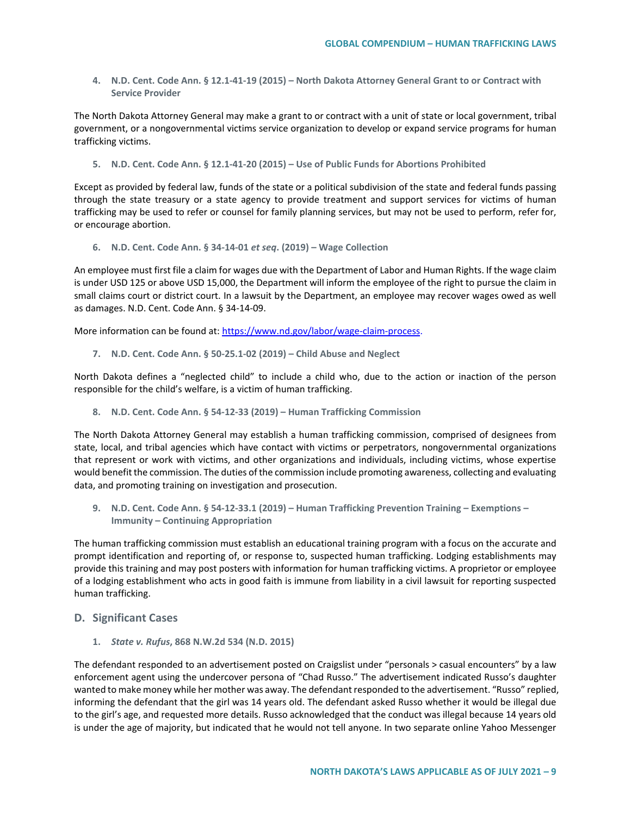**4. N.D. Cent. Code Ann. § 12.1-41-19 (2015) – North Dakota Attorney General Grant to or Contract with Service Provider**

The North Dakota Attorney General may make a grant to or contract with a unit of state or local government, tribal government, or a nongovernmental victims service organization to develop or expand service programs for human trafficking victims.

**5. N.D. Cent. Code Ann. § 12.1-41-20 (2015) – Use of Public Funds for Abortions Prohibited**

Except as provided by federal law, funds of the state or a political subdivision of the state and federal funds passing through the state treasury or a state agency to provide treatment and support services for victims of human trafficking may be used to refer or counsel for family planning services, but may not be used to perform, refer for, or encourage abortion.

**6. N.D. Cent. Code Ann. § 34-14-01** *et seq***. (2019) – Wage Collection** 

An employee must first file a claim for wages due with the Department of Labor and Human Rights. If the wage claim is under USD 125 or above USD 15,000, the Department will inform the employee of the right to pursue the claim in small claims court or district court. In a lawsuit by the Department, an employee may recover wages owed as well as damages. N.D. Cent. Code Ann. § 34-14-09.

More information can be found at[: https://www.nd.gov/labor/wage-claim-process.](https://www.nd.gov/labor/wage-claim-process)

**7. N.D. Cent. Code Ann. § 50-25.1-02 (2019) – Child Abuse and Neglect**

North Dakota defines a "neglected child" to include a child who, due to the action or inaction of the person responsible for the child's welfare, is a victim of human trafficking.

**8. N.D. Cent. Code Ann. § 54-12-33 (2019) – Human Trafficking Commission**

The North Dakota Attorney General may establish a human trafficking commission, comprised of designees from state, local, and tribal agencies which have contact with victims or perpetrators, nongovernmental organizations that represent or work with victims, and other organizations and individuals, including victims, whose expertise would benefit the commission. The duties of the commission include promoting awareness, collecting and evaluating data, and promoting training on investigation and prosecution.

**9. N.D. Cent. Code Ann. § 54-12-33.1 (2019) – Human Trafficking Prevention Training – Exemptions – Immunity – Continuing Appropriation** 

The human trafficking commission must establish an educational training program with a focus on the accurate and prompt identification and reporting of, or response to, suspected human trafficking. Lodging establishments may provide this training and may post posters with information for human trafficking victims. A proprietor or employee of a lodging establishment who acts in good faith is immune from liability in a civil lawsuit for reporting suspected human trafficking.

- **D. Significant Cases** 
	- **1.** *State v. Rufus***, 868 N.W.2d 534 (N.D. 2015)**

The defendant responded to an advertisement posted on Craigslist under "personals > casual encounters" by a law enforcement agent using the undercover persona of "Chad Russo." The advertisement indicated Russo's daughter wanted to make money while her mother was away. The defendant responded to the advertisement. "Russo" replied, informing the defendant that the girl was 14 years old. The defendant asked Russo whether it would be illegal due to the girl's age, and requested more details. Russo acknowledged that the conduct was illegal because 14 years old is under the age of majority, but indicated that he would not tell anyone. In two separate online Yahoo Messenger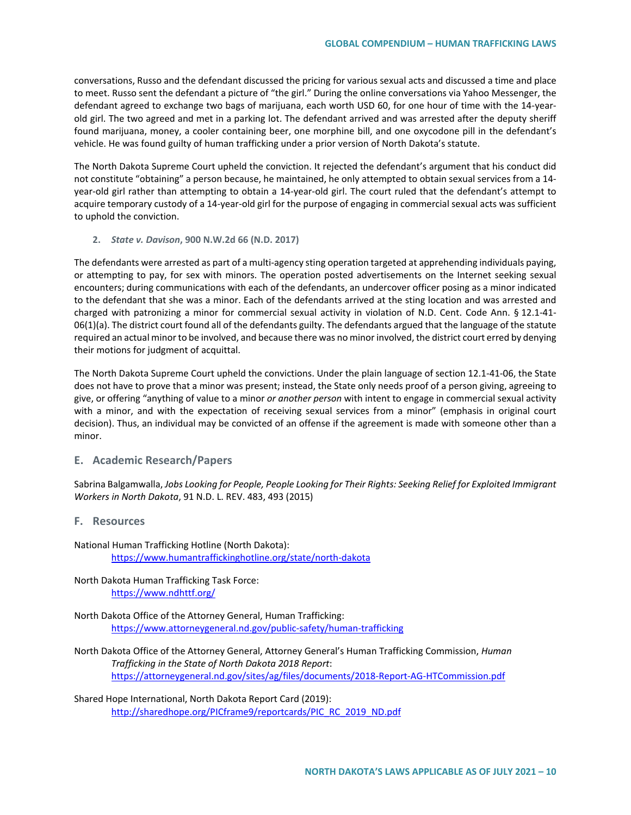conversations, Russo and the defendant discussed the pricing for various sexual acts and discussed a time and place to meet. Russo sent the defendant a picture of "the girl." During the online conversations via Yahoo Messenger, the defendant agreed to exchange two bags of marijuana, each worth USD 60, for one hour of time with the 14-yearold girl. The two agreed and met in a parking lot. The defendant arrived and was arrested after the deputy sheriff found marijuana, money, a cooler containing beer, one morphine bill, and one oxycodone pill in the defendant's vehicle. He was found guilty of human trafficking under a prior version of North Dakota's statute.

The North Dakota Supreme Court upheld the conviction. It rejected the defendant's argument that his conduct did not constitute "obtaining" a person because, he maintained, he only attempted to obtain sexual services from a 14 year-old girl rather than attempting to obtain a 14-year-old girl. The court ruled that the defendant's attempt to acquire temporary custody of a 14-year-old girl for the purpose of engaging in commercial sexual acts was sufficient to uphold the conviction.

**2.** *State v. Davison***, 900 N.W.2d 66 (N.D. 2017)**

The defendants were arrested as part of a multi-agency sting operation targeted at apprehending individuals paying, or attempting to pay, for sex with minors. The operation posted advertisements on the Internet seeking sexual encounters; during communications with each of the defendants, an undercover officer posing as a minor indicated to the defendant that she was a minor. Each of the defendants arrived at the sting location and was arrested and charged with patronizing a minor for commercial sexual activity in violation of N.D. Cent. Code Ann. § 12.1-41-  $06(1)(a)$ . The district court found all of the defendants guilty. The defendants argued that the language of the statute required an actual minor to be involved, and because there was no minor involved, the district court erred by denying their motions for judgment of acquittal.

The North Dakota Supreme Court upheld the convictions. Under the plain language of section 12.1-41-06, the State does not have to prove that a minor was present; instead, the State only needs proof of a person giving, agreeing to give, or offering "anything of value to a minor *or another person* with intent to engage in commercial sexual activity with a minor, and with the expectation of receiving sexual services from a minor" (emphasis in original court decision). Thus, an individual may be convicted of an offense if the agreement is made with someone other than a minor.

#### **E. Academic Research/Papers**

Sabrina Balgamwalla, *Jobs Looking for People, People Looking for Their Rights: Seeking Relief for Exploited Immigrant Workers in North Dakota*, 91 N.D. L. REV. 483, 493 (2015)

#### **F. Resources**

National Human Trafficking Hotline (North Dakota): <https://www.humantraffickinghotline.org/state/north-dakota>

North Dakota Human Trafficking Task Force: <https://www.ndhttf.org/>

North Dakota Office of the Attorney General, Human Trafficking: <https://www.attorneygeneral.nd.gov/public-safety/human-trafficking>

North Dakota Office of the Attorney General, Attorney General's Human Trafficking Commission, *Human Trafficking in the State of North Dakota 2018 Report*: <https://attorneygeneral.nd.gov/sites/ag/files/documents/2018-Report-AG-HTCommission.pdf>

Shared Hope International, North Dakota Report Card (2019): [http://sharedhope.org/PICframe9/reportcards/PIC\\_RC\\_2019\\_ND.pdf](http://sharedhope.org/PICframe9/reportcards/PIC_RC_2019_ND.pdf)